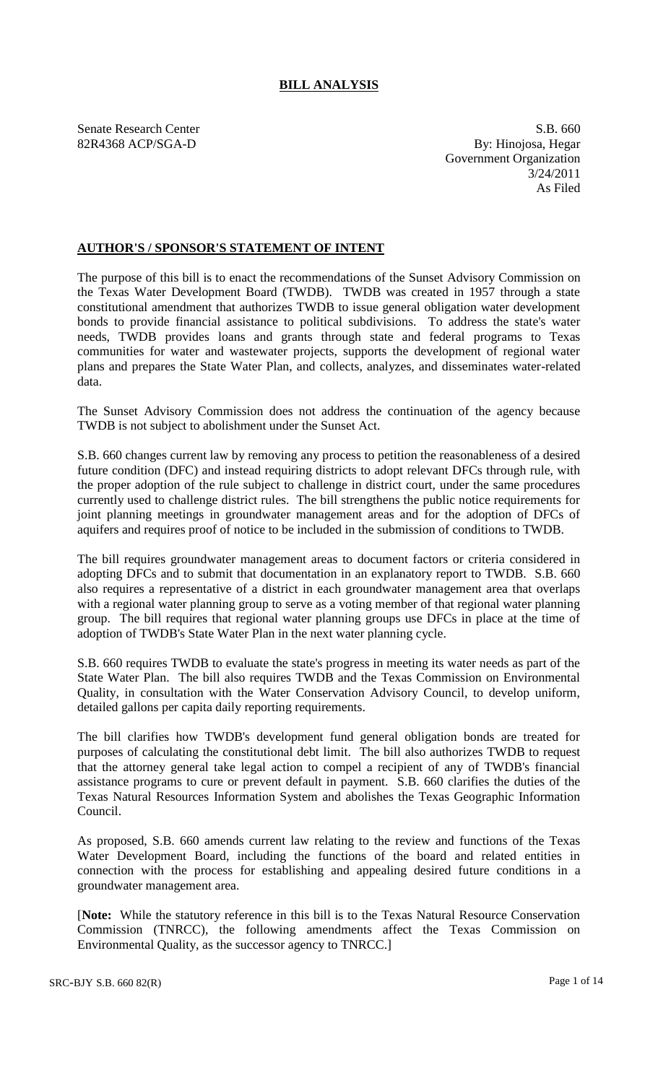## **BILL ANALYSIS**

Senate Research Center S.B. 660 82R4368 ACP/SGA-D By: Hinojosa, Hegar Government Organization 3/24/2011 As Filed

## **AUTHOR'S / SPONSOR'S STATEMENT OF INTENT**

The purpose of this bill is to enact the recommendations of the Sunset Advisory Commission on the Texas Water Development Board (TWDB). TWDB was created in 1957 through a state constitutional amendment that authorizes TWDB to issue general obligation water development bonds to provide financial assistance to political subdivisions. To address the state's water needs, TWDB provides loans and grants through state and federal programs to Texas communities for water and wastewater projects, supports the development of regional water plans and prepares the State Water Plan, and collects, analyzes, and disseminates water-related data.

The Sunset Advisory Commission does not address the continuation of the agency because TWDB is not subject to abolishment under the Sunset Act.

S.B. 660 changes current law by removing any process to petition the reasonableness of a desired future condition (DFC) and instead requiring districts to adopt relevant DFCs through rule, with the proper adoption of the rule subject to challenge in district court, under the same procedures currently used to challenge district rules. The bill strengthens the public notice requirements for joint planning meetings in groundwater management areas and for the adoption of DFCs of aquifers and requires proof of notice to be included in the submission of conditions to TWDB.

The bill requires groundwater management areas to document factors or criteria considered in adopting DFCs and to submit that documentation in an explanatory report to TWDB. S.B. 660 also requires a representative of a district in each groundwater management area that overlaps with a regional water planning group to serve as a voting member of that regional water planning group. The bill requires that regional water planning groups use DFCs in place at the time of adoption of TWDB's State Water Plan in the next water planning cycle.

S.B. 660 requires TWDB to evaluate the state's progress in meeting its water needs as part of the State Water Plan. The bill also requires TWDB and the Texas Commission on Environmental Quality, in consultation with the Water Conservation Advisory Council, to develop uniform, detailed gallons per capita daily reporting requirements.

The bill clarifies how TWDB's development fund general obligation bonds are treated for purposes of calculating the constitutional debt limit. The bill also authorizes TWDB to request that the attorney general take legal action to compel a recipient of any of TWDB's financial assistance programs to cure or prevent default in payment. S.B. 660 clarifies the duties of the Texas Natural Resources Information System and abolishes the Texas Geographic Information Council.

As proposed, S.B. 660 amends current law relating to the review and functions of the Texas Water Development Board, including the functions of the board and related entities in connection with the process for establishing and appealing desired future conditions in a groundwater management area.

[**Note:** While the statutory reference in this bill is to the Texas Natural Resource Conservation Commission (TNRCC), the following amendments affect the Texas Commission on Environmental Quality, as the successor agency to TNRCC.]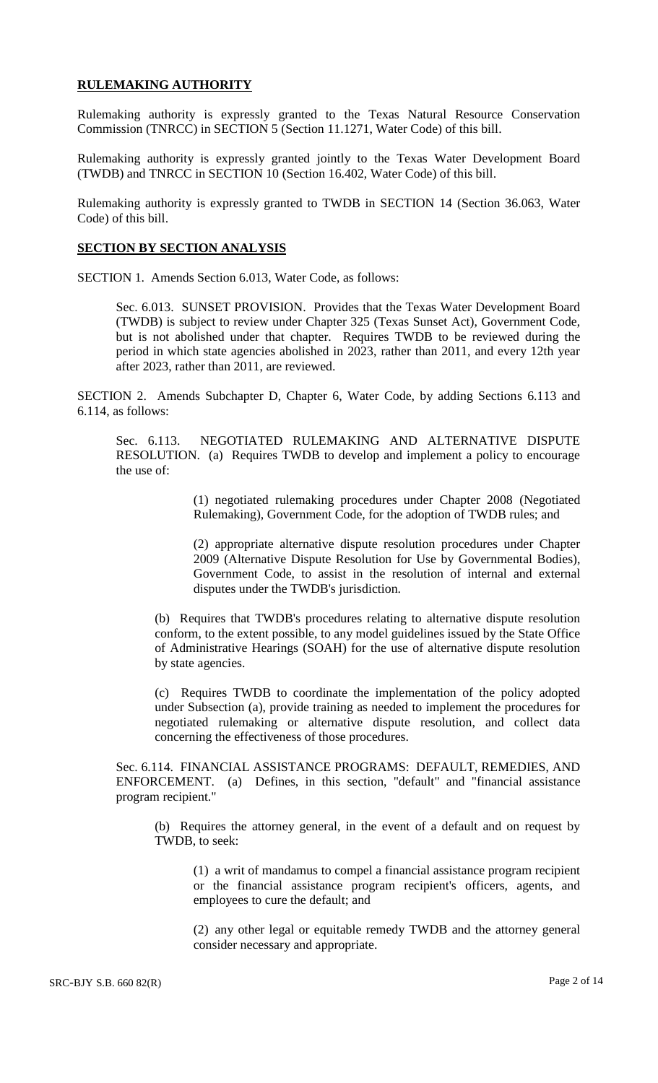## **RULEMAKING AUTHORITY**

Rulemaking authority is expressly granted to the Texas Natural Resource Conservation Commission (TNRCC) in SECTION 5 (Section 11.1271, Water Code) of this bill.

Rulemaking authority is expressly granted jointly to the Texas Water Development Board (TWDB) and TNRCC in SECTION 10 (Section 16.402, Water Code) of this bill.

Rulemaking authority is expressly granted to TWDB in SECTION 14 (Section 36.063, Water Code) of this bill.

## **SECTION BY SECTION ANALYSIS**

SECTION 1. Amends Section 6.013, Water Code, as follows:

Sec. 6.013. SUNSET PROVISION. Provides that the Texas Water Development Board (TWDB) is subject to review under Chapter 325 (Texas Sunset Act), Government Code, but is not abolished under that chapter. Requires TWDB to be reviewed during the period in which state agencies abolished in 2023, rather than 2011, and every 12th year after 2023, rather than 2011, are reviewed.

SECTION 2. Amends Subchapter D, Chapter 6, Water Code, by adding Sections 6.113 and 6.114, as follows:

Sec. 6.113. NEGOTIATED RULEMAKING AND ALTERNATIVE DISPUTE RESOLUTION. (a) Requires TWDB to develop and implement a policy to encourage the use of:

> (1) negotiated rulemaking procedures under Chapter 2008 (Negotiated Rulemaking), Government Code, for the adoption of TWDB rules; and

> (2) appropriate alternative dispute resolution procedures under Chapter 2009 (Alternative Dispute Resolution for Use by Governmental Bodies), Government Code, to assist in the resolution of internal and external disputes under the TWDB's jurisdiction.

(b) Requires that TWDB's procedures relating to alternative dispute resolution conform, to the extent possible, to any model guidelines issued by the State Office of Administrative Hearings (SOAH) for the use of alternative dispute resolution by state agencies.

(c) Requires TWDB to coordinate the implementation of the policy adopted under Subsection (a), provide training as needed to implement the procedures for negotiated rulemaking or alternative dispute resolution, and collect data concerning the effectiveness of those procedures.

Sec. 6.114. FINANCIAL ASSISTANCE PROGRAMS: DEFAULT, REMEDIES, AND ENFORCEMENT. (a) Defines, in this section, "default" and "financial assistance program recipient."

(b) Requires the attorney general, in the event of a default and on request by TWDB, to seek:

(1) a writ of mandamus to compel a financial assistance program recipient or the financial assistance program recipient's officers, agents, and employees to cure the default; and

(2) any other legal or equitable remedy TWDB and the attorney general consider necessary and appropriate.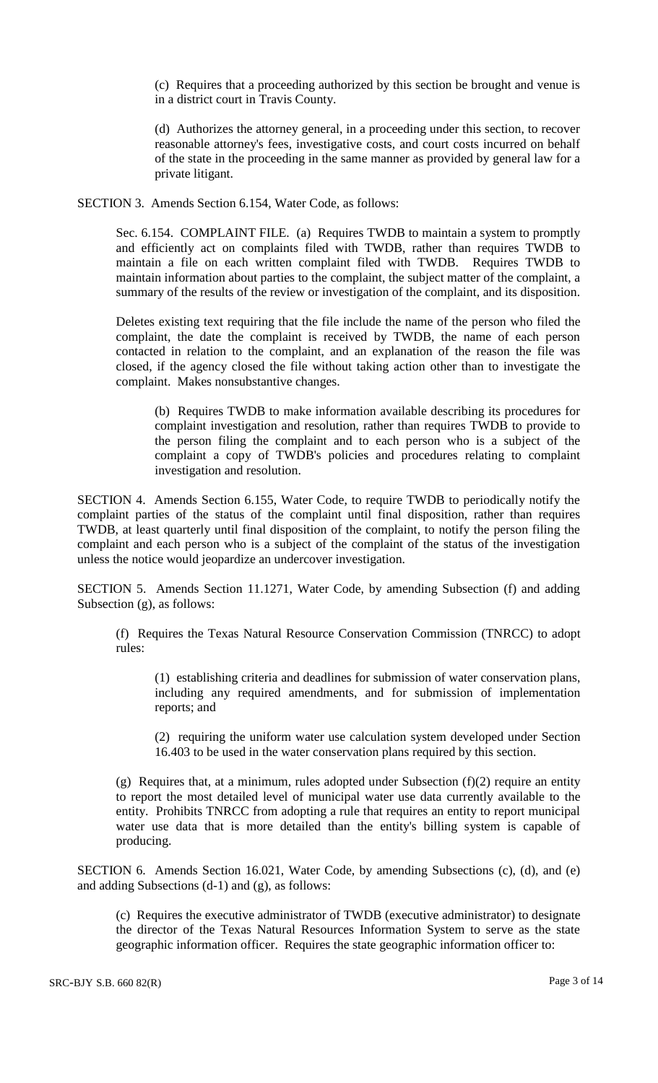(c) Requires that a proceeding authorized by this section be brought and venue is in a district court in Travis County.

(d) Authorizes the attorney general, in a proceeding under this section, to recover reasonable attorney's fees, investigative costs, and court costs incurred on behalf of the state in the proceeding in the same manner as provided by general law for a private litigant.

SECTION 3. Amends Section 6.154, Water Code, as follows:

Sec. 6.154. COMPLAINT FILE. (a) Requires TWDB to maintain a system to promptly and efficiently act on complaints filed with TWDB, rather than requires TWDB to maintain a file on each written complaint filed with TWDB. Requires TWDB to maintain information about parties to the complaint, the subject matter of the complaint, a summary of the results of the review or investigation of the complaint, and its disposition.

Deletes existing text requiring that the file include the name of the person who filed the complaint, the date the complaint is received by TWDB, the name of each person contacted in relation to the complaint, and an explanation of the reason the file was closed, if the agency closed the file without taking action other than to investigate the complaint. Makes nonsubstantive changes.

(b) Requires TWDB to make information available describing its procedures for complaint investigation and resolution, rather than requires TWDB to provide to the person filing the complaint and to each person who is a subject of the complaint a copy of TWDB's policies and procedures relating to complaint investigation and resolution.

SECTION 4. Amends Section 6.155, Water Code, to require TWDB to periodically notify the complaint parties of the status of the complaint until final disposition, rather than requires TWDB, at least quarterly until final disposition of the complaint, to notify the person filing the complaint and each person who is a subject of the complaint of the status of the investigation unless the notice would jeopardize an undercover investigation.

SECTION 5. Amends Section 11.1271, Water Code, by amending Subsection (f) and adding Subsection (g), as follows:

(f) Requires the Texas Natural Resource Conservation Commission (TNRCC) to adopt rules:

(1) establishing criteria and deadlines for submission of water conservation plans, including any required amendments, and for submission of implementation reports; and

(2) requiring the uniform water use calculation system developed under Section 16.403 to be used in the water conservation plans required by this section.

(g) Requires that, at a minimum, rules adopted under Subsection (f)(2) require an entity to report the most detailed level of municipal water use data currently available to the entity. Prohibits TNRCC from adopting a rule that requires an entity to report municipal water use data that is more detailed than the entity's billing system is capable of producing.

SECTION 6. Amends Section 16.021, Water Code, by amending Subsections (c), (d), and (e) and adding Subsections (d-1) and (g), as follows:

(c) Requires the executive administrator of TWDB (executive administrator) to designate the director of the Texas Natural Resources Information System to serve as the state geographic information officer. Requires the state geographic information officer to: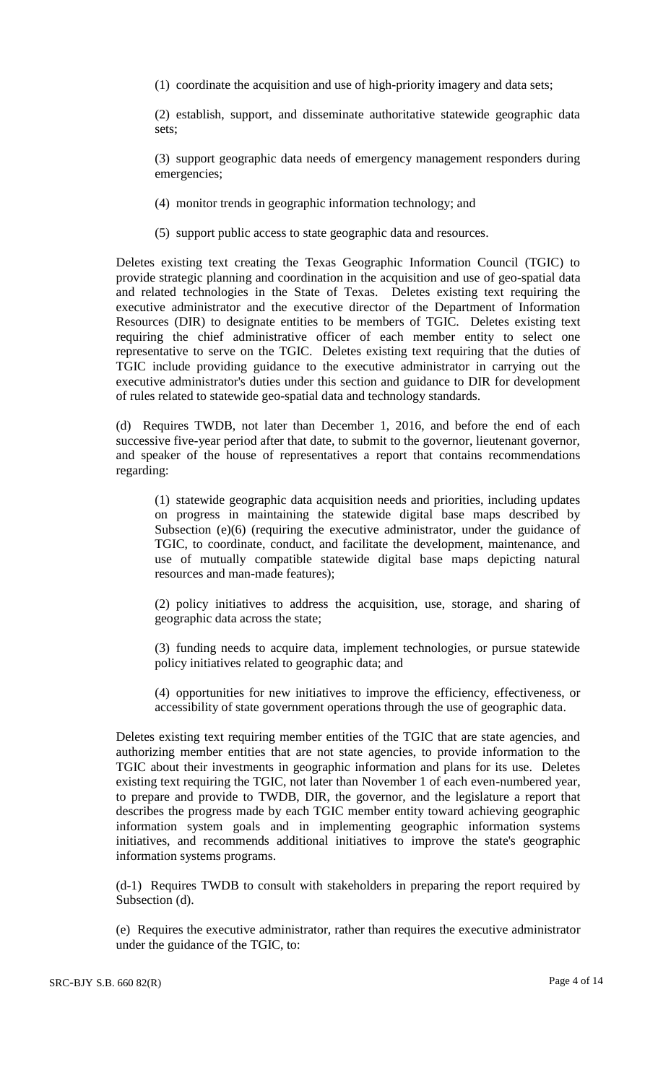(1) coordinate the acquisition and use of high-priority imagery and data sets;

(2) establish, support, and disseminate authoritative statewide geographic data sets;

(3) support geographic data needs of emergency management responders during emergencies;

- (4) monitor trends in geographic information technology; and
- (5) support public access to state geographic data and resources.

Deletes existing text creating the Texas Geographic Information Council (TGIC) to provide strategic planning and coordination in the acquisition and use of geo-spatial data and related technologies in the State of Texas. Deletes existing text requiring the executive administrator and the executive director of the Department of Information Resources (DIR) to designate entities to be members of TGIC. Deletes existing text requiring the chief administrative officer of each member entity to select one representative to serve on the TGIC. Deletes existing text requiring that the duties of TGIC include providing guidance to the executive administrator in carrying out the executive administrator's duties under this section and guidance to DIR for development of rules related to statewide geo-spatial data and technology standards.

(d) Requires TWDB, not later than December 1, 2016, and before the end of each successive five-year period after that date, to submit to the governor, lieutenant governor, and speaker of the house of representatives a report that contains recommendations regarding:

(1) statewide geographic data acquisition needs and priorities, including updates on progress in maintaining the statewide digital base maps described by Subsection (e)(6) (requiring the executive administrator, under the guidance of TGIC, to coordinate, conduct, and facilitate the development, maintenance, and use of mutually compatible statewide digital base maps depicting natural resources and man-made features);

(2) policy initiatives to address the acquisition, use, storage, and sharing of geographic data across the state;

(3) funding needs to acquire data, implement technologies, or pursue statewide policy initiatives related to geographic data; and

(4) opportunities for new initiatives to improve the efficiency, effectiveness, or accessibility of state government operations through the use of geographic data.

Deletes existing text requiring member entities of the TGIC that are state agencies, and authorizing member entities that are not state agencies, to provide information to the TGIC about their investments in geographic information and plans for its use. Deletes existing text requiring the TGIC, not later than November 1 of each even-numbered year, to prepare and provide to TWDB, DIR, the governor, and the legislature a report that describes the progress made by each TGIC member entity toward achieving geographic information system goals and in implementing geographic information systems initiatives, and recommends additional initiatives to improve the state's geographic information systems programs.

(d-1) Requires TWDB to consult with stakeholders in preparing the report required by Subsection (d).

(e) Requires the executive administrator, rather than requires the executive administrator under the guidance of the TGIC, to: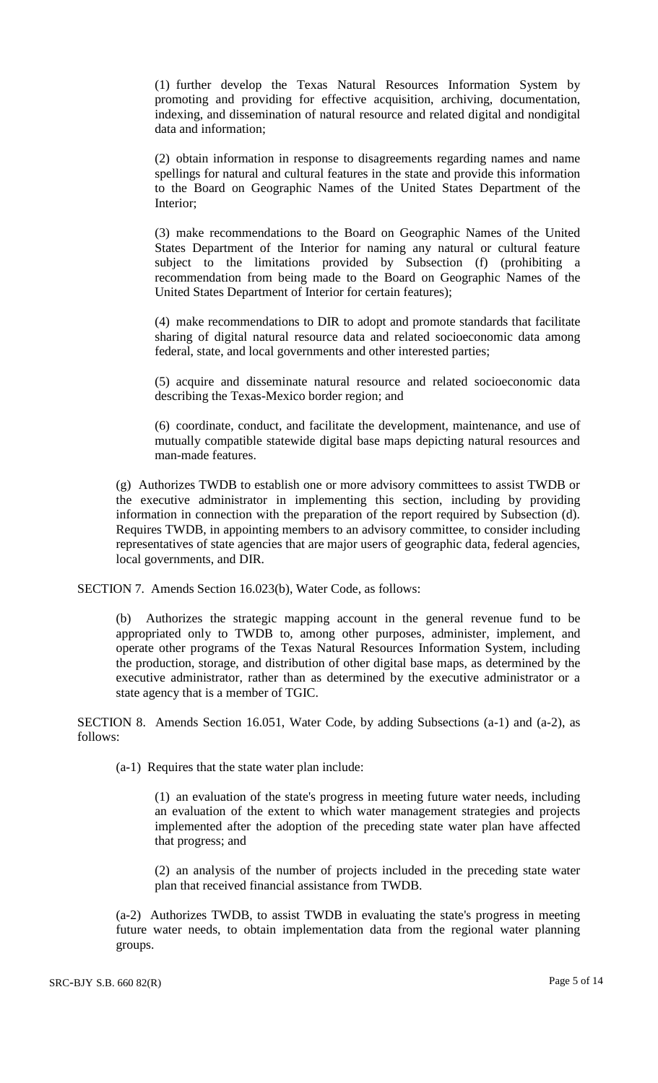(1) further develop the Texas Natural Resources Information System by promoting and providing for effective acquisition, archiving, documentation, indexing, and dissemination of natural resource and related digital and nondigital data and information;

(2) obtain information in response to disagreements regarding names and name spellings for natural and cultural features in the state and provide this information to the Board on Geographic Names of the United States Department of the Interior;

(3) make recommendations to the Board on Geographic Names of the United States Department of the Interior for naming any natural or cultural feature subject to the limitations provided by Subsection (f) (prohibiting a recommendation from being made to the Board on Geographic Names of the United States Department of Interior for certain features);

(4) make recommendations to DIR to adopt and promote standards that facilitate sharing of digital natural resource data and related socioeconomic data among federal, state, and local governments and other interested parties;

(5) acquire and disseminate natural resource and related socioeconomic data describing the Texas-Mexico border region; and

(6) coordinate, conduct, and facilitate the development, maintenance, and use of mutually compatible statewide digital base maps depicting natural resources and man-made features.

(g) Authorizes TWDB to establish one or more advisory committees to assist TWDB or the executive administrator in implementing this section, including by providing information in connection with the preparation of the report required by Subsection (d). Requires TWDB, in appointing members to an advisory committee, to consider including representatives of state agencies that are major users of geographic data, federal agencies, local governments, and DIR.

SECTION 7. Amends Section 16.023(b), Water Code, as follows:

(b) Authorizes the strategic mapping account in the general revenue fund to be appropriated only to TWDB to, among other purposes, administer, implement, and operate other programs of the Texas Natural Resources Information System, including the production, storage, and distribution of other digital base maps, as determined by the executive administrator, rather than as determined by the executive administrator or a state agency that is a member of TGIC.

SECTION 8. Amends Section 16.051, Water Code, by adding Subsections (a-1) and (a-2), as follows:

(a-1) Requires that the state water plan include:

(1) an evaluation of the state's progress in meeting future water needs, including an evaluation of the extent to which water management strategies and projects implemented after the adoption of the preceding state water plan have affected that progress; and

(2) an analysis of the number of projects included in the preceding state water plan that received financial assistance from TWDB.

(a-2) Authorizes TWDB, to assist TWDB in evaluating the state's progress in meeting future water needs, to obtain implementation data from the regional water planning groups.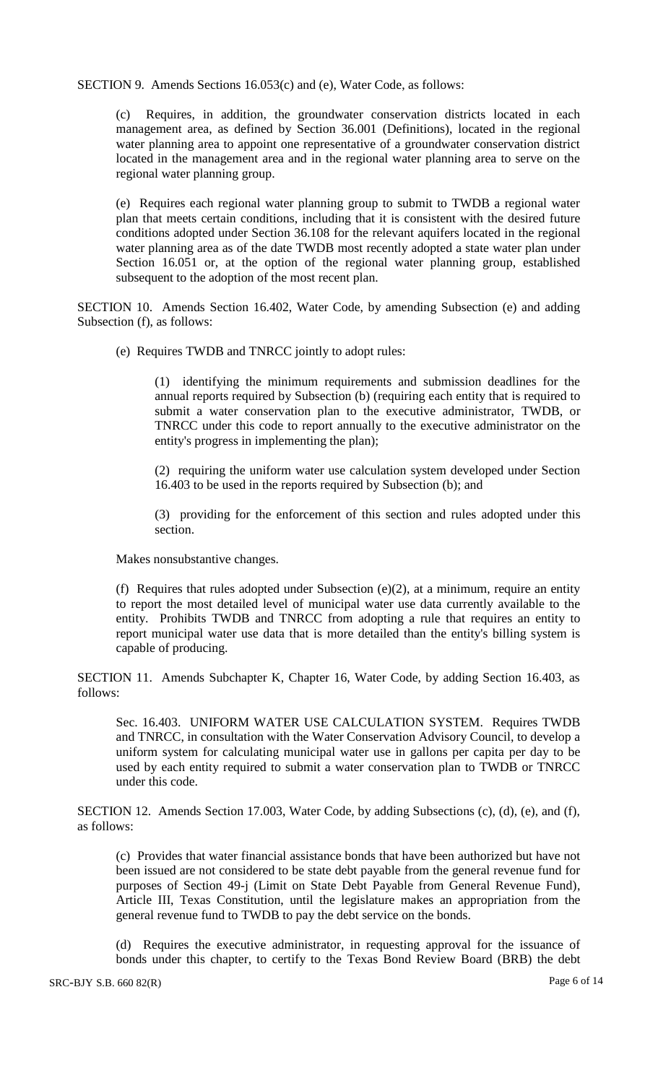SECTION 9. Amends Sections 16.053(c) and (e), Water Code, as follows:

(c) Requires, in addition, the groundwater conservation districts located in each management area, as defined by Section 36.001 (Definitions), located in the regional water planning area to appoint one representative of a groundwater conservation district located in the management area and in the regional water planning area to serve on the regional water planning group.

(e) Requires each regional water planning group to submit to TWDB a regional water plan that meets certain conditions, including that it is consistent with the desired future conditions adopted under Section 36.108 for the relevant aquifers located in the regional water planning area as of the date TWDB most recently adopted a state water plan under Section 16.051 or, at the option of the regional water planning group, established subsequent to the adoption of the most recent plan.

SECTION 10. Amends Section 16.402, Water Code, by amending Subsection (e) and adding Subsection (f), as follows:

(e) Requires TWDB and TNRCC jointly to adopt rules:

(1) identifying the minimum requirements and submission deadlines for the annual reports required by Subsection (b) (requiring each entity that is required to submit a water conservation plan to the executive administrator, TWDB, or TNRCC under this code to report annually to the executive administrator on the entity's progress in implementing the plan);

(2) requiring the uniform water use calculation system developed under Section 16.403 to be used in the reports required by Subsection (b); and

(3) providing for the enforcement of this section and rules adopted under this section.

Makes nonsubstantive changes.

(f) Requires that rules adopted under Subsection (e)(2), at a minimum, require an entity to report the most detailed level of municipal water use data currently available to the entity. Prohibits TWDB and TNRCC from adopting a rule that requires an entity to report municipal water use data that is more detailed than the entity's billing system is capable of producing.

SECTION 11. Amends Subchapter K, Chapter 16, Water Code, by adding Section 16.403, as follows:

Sec. 16.403. UNIFORM WATER USE CALCULATION SYSTEM. Requires TWDB and TNRCC, in consultation with the Water Conservation Advisory Council, to develop a uniform system for calculating municipal water use in gallons per capita per day to be used by each entity required to submit a water conservation plan to TWDB or TNRCC under this code.

SECTION 12. Amends Section 17.003, Water Code, by adding Subsections (c), (d), (e), and (f), as follows:

(c) Provides that water financial assistance bonds that have been authorized but have not been issued are not considered to be state debt payable from the general revenue fund for purposes of Section 49-j (Limit on State Debt Payable from General Revenue Fund), Article III, Texas Constitution, until the legislature makes an appropriation from the general revenue fund to TWDB to pay the debt service on the bonds.

(d) Requires the executive administrator, in requesting approval for the issuance of bonds under this chapter, to certify to the Texas Bond Review Board (BRB) the debt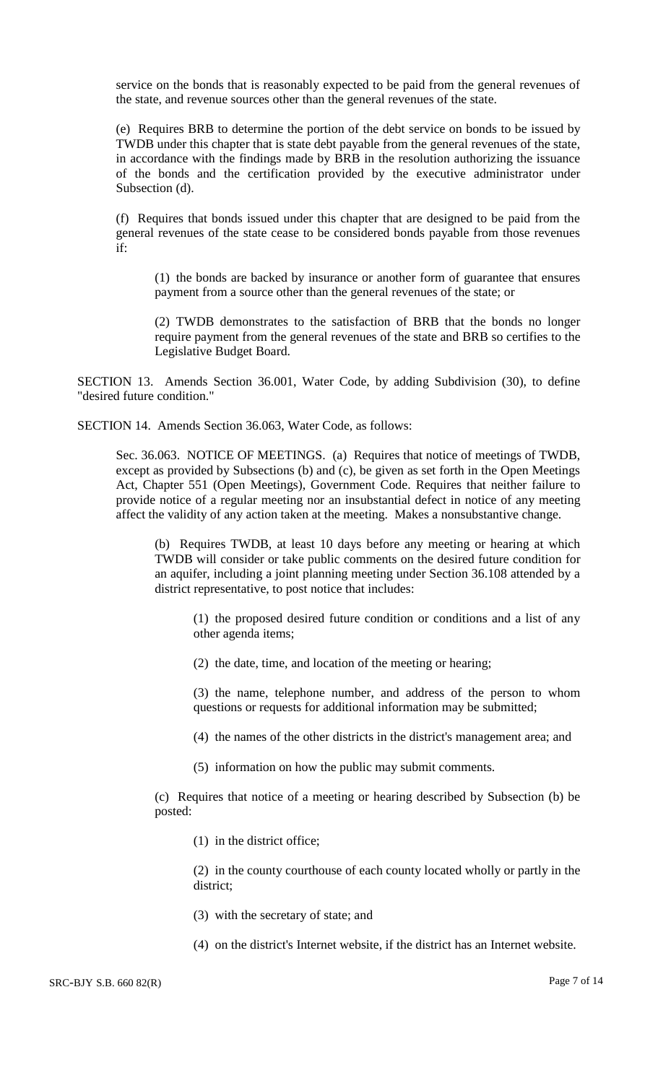service on the bonds that is reasonably expected to be paid from the general revenues of the state, and revenue sources other than the general revenues of the state.

(e) Requires BRB to determine the portion of the debt service on bonds to be issued by TWDB under this chapter that is state debt payable from the general revenues of the state, in accordance with the findings made by BRB in the resolution authorizing the issuance of the bonds and the certification provided by the executive administrator under Subsection (d).

(f) Requires that bonds issued under this chapter that are designed to be paid from the general revenues of the state cease to be considered bonds payable from those revenues if:

(1) the bonds are backed by insurance or another form of guarantee that ensures payment from a source other than the general revenues of the state; or

(2) TWDB demonstrates to the satisfaction of BRB that the bonds no longer require payment from the general revenues of the state and BRB so certifies to the Legislative Budget Board.

SECTION 13. Amends Section 36.001, Water Code, by adding Subdivision (30), to define "desired future condition."

SECTION 14. Amends Section 36.063, Water Code, as follows:

Sec. 36.063. NOTICE OF MEETINGS. (a) Requires that notice of meetings of TWDB, except as provided by Subsections (b) and (c), be given as set forth in the Open Meetings Act, Chapter 551 (Open Meetings), Government Code. Requires that neither failure to provide notice of a regular meeting nor an insubstantial defect in notice of any meeting affect the validity of any action taken at the meeting. Makes a nonsubstantive change.

(b) Requires TWDB, at least 10 days before any meeting or hearing at which TWDB will consider or take public comments on the desired future condition for an aquifer, including a joint planning meeting under Section 36.108 attended by a district representative, to post notice that includes:

(1) the proposed desired future condition or conditions and a list of any other agenda items;

(2) the date, time, and location of the meeting or hearing;

(3) the name, telephone number, and address of the person to whom questions or requests for additional information may be submitted;

(4) the names of the other districts in the district's management area; and

(5) information on how the public may submit comments.

(c) Requires that notice of a meeting or hearing described by Subsection (b) be posted:

(1) in the district office;

(2) in the county courthouse of each county located wholly or partly in the district;

- (3) with the secretary of state; and
- (4) on the district's Internet website, if the district has an Internet website.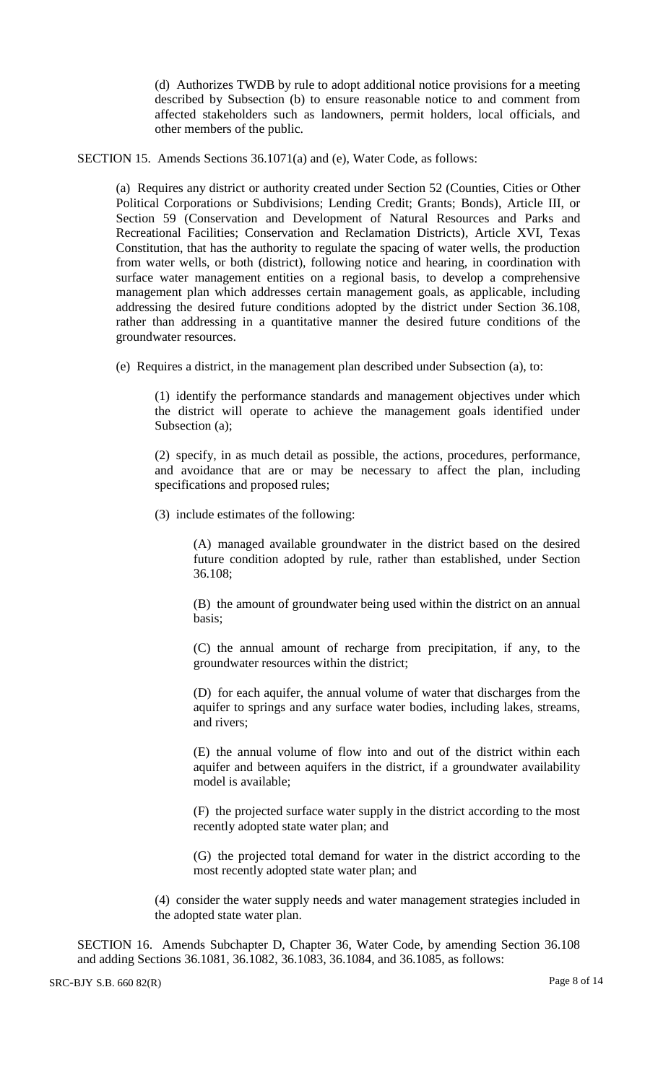(d) Authorizes TWDB by rule to adopt additional notice provisions for a meeting described by Subsection (b) to ensure reasonable notice to and comment from affected stakeholders such as landowners, permit holders, local officials, and other members of the public.

SECTION 15. Amends Sections 36.1071(a) and (e), Water Code, as follows:

(a) Requires any district or authority created under Section 52 (Counties, Cities or Other Political Corporations or Subdivisions; Lending Credit; Grants; Bonds), Article III, or Section 59 (Conservation and Development of Natural Resources and Parks and Recreational Facilities; Conservation and Reclamation Districts), Article XVI, Texas Constitution, that has the authority to regulate the spacing of water wells, the production from water wells, or both (district), following notice and hearing, in coordination with surface water management entities on a regional basis, to develop a comprehensive management plan which addresses certain management goals, as applicable, including addressing the desired future conditions adopted by the district under Section 36.108, rather than addressing in a quantitative manner the desired future conditions of the groundwater resources.

(e) Requires a district, in the management plan described under Subsection (a), to:

(1) identify the performance standards and management objectives under which the district will operate to achieve the management goals identified under Subsection (a);

(2) specify, in as much detail as possible, the actions, procedures, performance, and avoidance that are or may be necessary to affect the plan, including specifications and proposed rules;

(3) include estimates of the following:

(A) managed available groundwater in the district based on the desired future condition adopted by rule, rather than established, under Section 36.108;

(B) the amount of groundwater being used within the district on an annual basis;

(C) the annual amount of recharge from precipitation, if any, to the groundwater resources within the district;

(D) for each aquifer, the annual volume of water that discharges from the aquifer to springs and any surface water bodies, including lakes, streams, and rivers;

(E) the annual volume of flow into and out of the district within each aquifer and between aquifers in the district, if a groundwater availability model is available;

(F) the projected surface water supply in the district according to the most recently adopted state water plan; and

(G) the projected total demand for water in the district according to the most recently adopted state water plan; and

(4) consider the water supply needs and water management strategies included in the adopted state water plan.

SECTION 16. Amends Subchapter D, Chapter 36, Water Code, by amending Section 36.108 and adding Sections 36.1081, 36.1082, 36.1083, 36.1084, and 36.1085, as follows: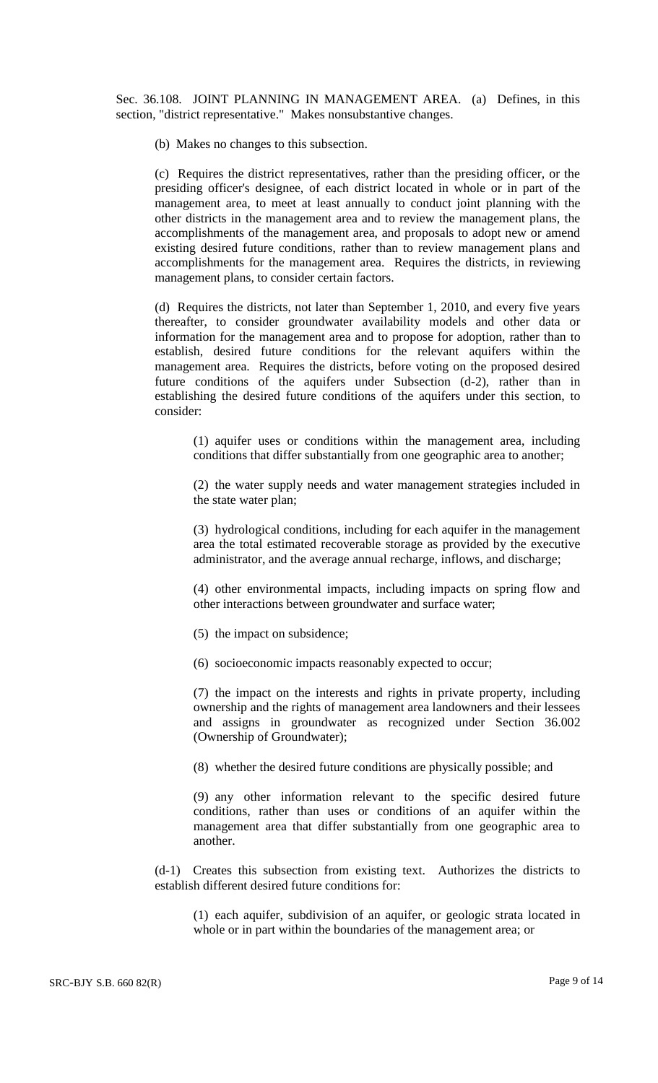Sec. 36.108. JOINT PLANNING IN MANAGEMENT AREA. (a) Defines, in this section, "district representative." Makes nonsubstantive changes.

(b) Makes no changes to this subsection.

(c) Requires the district representatives, rather than the presiding officer, or the presiding officer's designee, of each district located in whole or in part of the management area, to meet at least annually to conduct joint planning with the other districts in the management area and to review the management plans, the accomplishments of the management area, and proposals to adopt new or amend existing desired future conditions, rather than to review management plans and accomplishments for the management area. Requires the districts, in reviewing management plans, to consider certain factors.

(d) Requires the districts, not later than September 1, 2010, and every five years thereafter, to consider groundwater availability models and other data or information for the management area and to propose for adoption, rather than to establish, desired future conditions for the relevant aquifers within the management area. Requires the districts, before voting on the proposed desired future conditions of the aquifers under Subsection (d-2), rather than in establishing the desired future conditions of the aquifers under this section, to consider:

(1) aquifer uses or conditions within the management area, including conditions that differ substantially from one geographic area to another;

(2) the water supply needs and water management strategies included in the state water plan;

(3) hydrological conditions, including for each aquifer in the management area the total estimated recoverable storage as provided by the executive administrator, and the average annual recharge, inflows, and discharge;

(4) other environmental impacts, including impacts on spring flow and other interactions between groundwater and surface water;

(5) the impact on subsidence;

(6) socioeconomic impacts reasonably expected to occur;

(7) the impact on the interests and rights in private property, including ownership and the rights of management area landowners and their lessees and assigns in groundwater as recognized under Section 36.002 (Ownership of Groundwater);

(8) whether the desired future conditions are physically possible; and

(9) any other information relevant to the specific desired future conditions, rather than uses or conditions of an aquifer within the management area that differ substantially from one geographic area to another.

(d-1) Creates this subsection from existing text. Authorizes the districts to establish different desired future conditions for:

(1) each aquifer, subdivision of an aquifer, or geologic strata located in whole or in part within the boundaries of the management area; or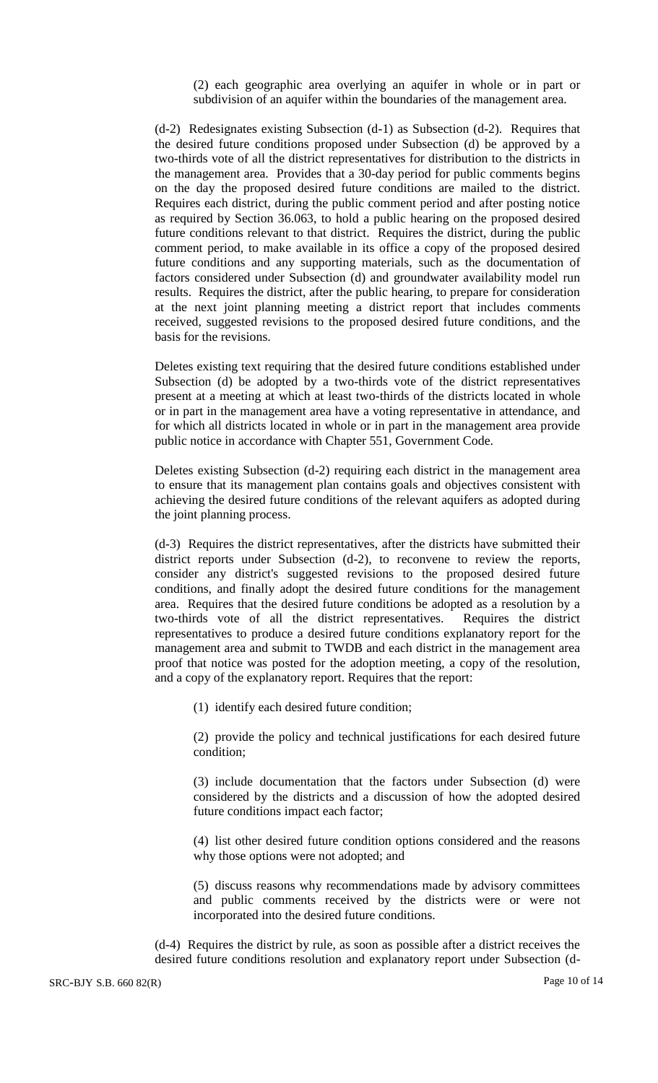(2) each geographic area overlying an aquifer in whole or in part or subdivision of an aquifer within the boundaries of the management area.

(d-2) Redesignates existing Subsection (d-1) as Subsection (d-2). Requires that the desired future conditions proposed under Subsection (d) be approved by a two-thirds vote of all the district representatives for distribution to the districts in the management area. Provides that a 30-day period for public comments begins on the day the proposed desired future conditions are mailed to the district. Requires each district, during the public comment period and after posting notice as required by Section 36.063, to hold a public hearing on the proposed desired future conditions relevant to that district. Requires the district, during the public comment period, to make available in its office a copy of the proposed desired future conditions and any supporting materials, such as the documentation of factors considered under Subsection (d) and groundwater availability model run results. Requires the district, after the public hearing, to prepare for consideration at the next joint planning meeting a district report that includes comments received, suggested revisions to the proposed desired future conditions, and the basis for the revisions.

Deletes existing text requiring that the desired future conditions established under Subsection (d) be adopted by a two-thirds vote of the district representatives present at a meeting at which at least two-thirds of the districts located in whole or in part in the management area have a voting representative in attendance, and for which all districts located in whole or in part in the management area provide public notice in accordance with Chapter 551, Government Code.

Deletes existing Subsection (d-2) requiring each district in the management area to ensure that its management plan contains goals and objectives consistent with achieving the desired future conditions of the relevant aquifers as adopted during the joint planning process.

(d-3) Requires the district representatives, after the districts have submitted their district reports under Subsection (d-2), to reconvene to review the reports, consider any district's suggested revisions to the proposed desired future conditions, and finally adopt the desired future conditions for the management area. Requires that the desired future conditions be adopted as a resolution by a two-thirds vote of all the district representatives. Requires the district representatives to produce a desired future conditions explanatory report for the management area and submit to TWDB and each district in the management area proof that notice was posted for the adoption meeting, a copy of the resolution, and a copy of the explanatory report. Requires that the report:

(1) identify each desired future condition;

(2) provide the policy and technical justifications for each desired future condition;

(3) include documentation that the factors under Subsection (d) were considered by the districts and a discussion of how the adopted desired future conditions impact each factor;

(4) list other desired future condition options considered and the reasons why those options were not adopted; and

(5) discuss reasons why recommendations made by advisory committees and public comments received by the districts were or were not incorporated into the desired future conditions.

(d-4) Requires the district by rule, as soon as possible after a district receives the desired future conditions resolution and explanatory report under Subsection (d-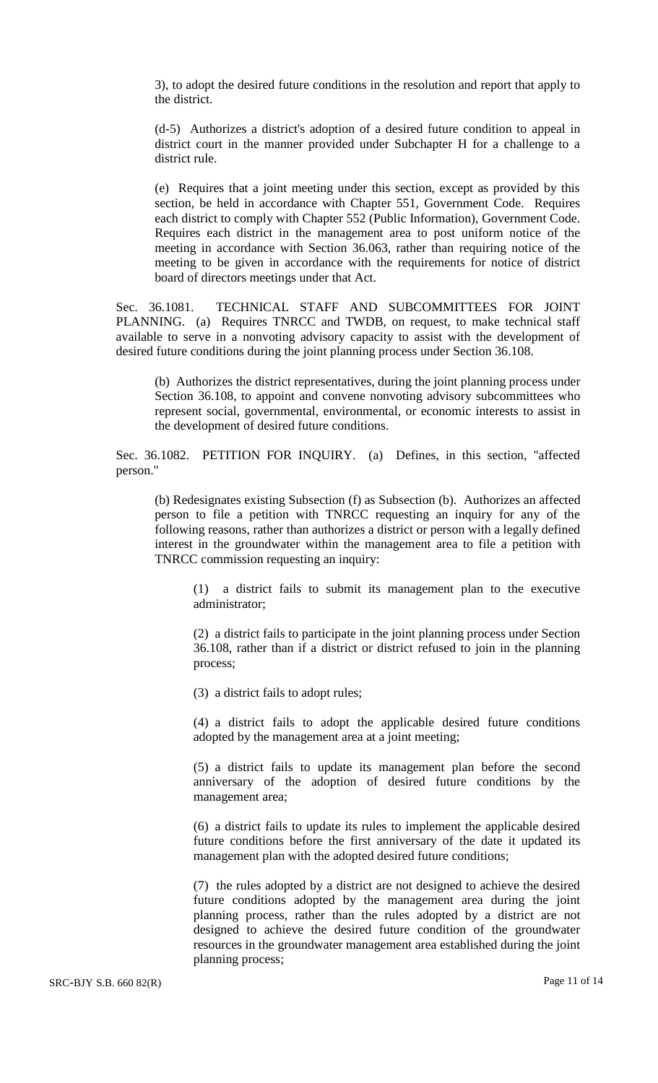3), to adopt the desired future conditions in the resolution and report that apply to the district.

(d-5) Authorizes a district's adoption of a desired future condition to appeal in district court in the manner provided under Subchapter H for a challenge to a district rule.

(e) Requires that a joint meeting under this section, except as provided by this section, be held in accordance with Chapter 551, Government Code. Requires each district to comply with Chapter 552 (Public Information), Government Code. Requires each district in the management area to post uniform notice of the meeting in accordance with Section 36.063, rather than requiring notice of the meeting to be given in accordance with the requirements for notice of district board of directors meetings under that Act.

Sec. 36.1081. TECHNICAL STAFF AND SUBCOMMITTEES FOR JOINT PLANNING. (a) Requires TNRCC and TWDB, on request, to make technical staff available to serve in a nonvoting advisory capacity to assist with the development of desired future conditions during the joint planning process under Section 36.108.

(b) Authorizes the district representatives, during the joint planning process under Section 36.108, to appoint and convene nonvoting advisory subcommittees who represent social, governmental, environmental, or economic interests to assist in the development of desired future conditions.

Sec. 36.1082. PETITION FOR INQUIRY. (a) Defines, in this section, "affected person."

(b) Redesignates existing Subsection (f) as Subsection (b). Authorizes an affected person to file a petition with TNRCC requesting an inquiry for any of the following reasons, rather than authorizes a district or person with a legally defined interest in the groundwater within the management area to file a petition with TNRCC commission requesting an inquiry:

(1) a district fails to submit its management plan to the executive administrator;

(2) a district fails to participate in the joint planning process under Section 36.108, rather than if a district or district refused to join in the planning process;

(3) a district fails to adopt rules;

(4) a district fails to adopt the applicable desired future conditions adopted by the management area at a joint meeting;

(5) a district fails to update its management plan before the second anniversary of the adoption of desired future conditions by the management area;

(6) a district fails to update its rules to implement the applicable desired future conditions before the first anniversary of the date it updated its management plan with the adopted desired future conditions;

(7) the rules adopted by a district are not designed to achieve the desired future conditions adopted by the management area during the joint planning process, rather than the rules adopted by a district are not designed to achieve the desired future condition of the groundwater resources in the groundwater management area established during the joint planning process;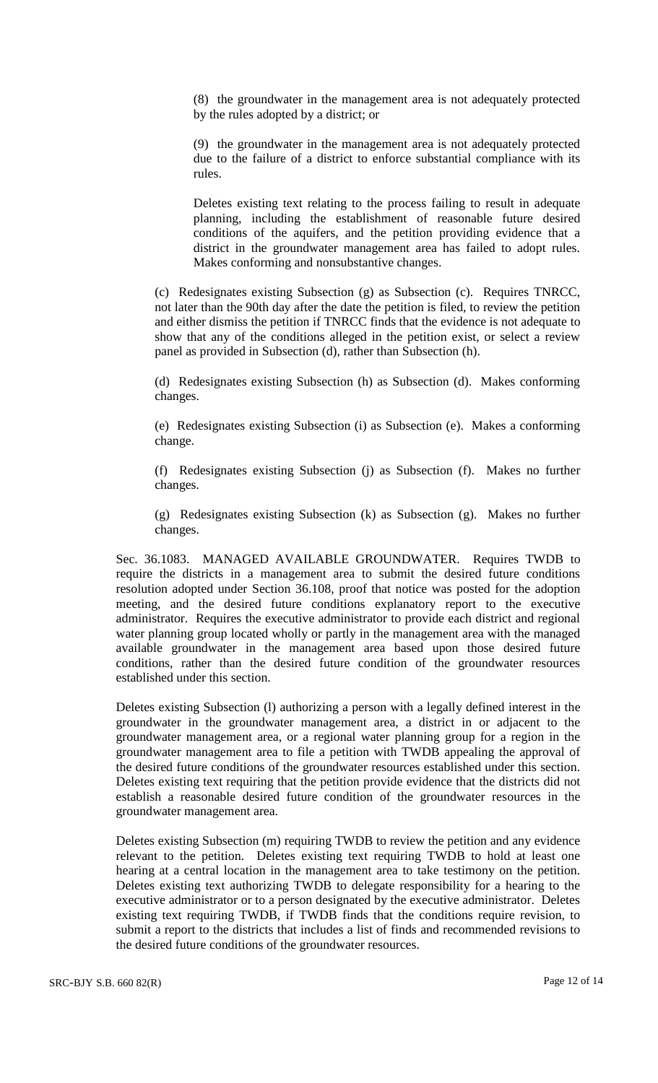(8) the groundwater in the management area is not adequately protected by the rules adopted by a district; or

(9) the groundwater in the management area is not adequately protected due to the failure of a district to enforce substantial compliance with its rules.

Deletes existing text relating to the process failing to result in adequate planning, including the establishment of reasonable future desired conditions of the aquifers, and the petition providing evidence that a district in the groundwater management area has failed to adopt rules. Makes conforming and nonsubstantive changes.

(c) Redesignates existing Subsection (g) as Subsection (c). Requires TNRCC, not later than the 90th day after the date the petition is filed, to review the petition and either dismiss the petition if TNRCC finds that the evidence is not adequate to show that any of the conditions alleged in the petition exist, or select a review panel as provided in Subsection (d), rather than Subsection (h).

(d) Redesignates existing Subsection (h) as Subsection (d). Makes conforming changes.

(e) Redesignates existing Subsection (i) as Subsection (e). Makes a conforming change.

(f) Redesignates existing Subsection (j) as Subsection (f). Makes no further changes.

(g) Redesignates existing Subsection (k) as Subsection (g). Makes no further changes.

Sec. 36.1083. MANAGED AVAILABLE GROUNDWATER. Requires TWDB to require the districts in a management area to submit the desired future conditions resolution adopted under Section 36.108, proof that notice was posted for the adoption meeting, and the desired future conditions explanatory report to the executive administrator. Requires the executive administrator to provide each district and regional water planning group located wholly or partly in the management area with the managed available groundwater in the management area based upon those desired future conditions, rather than the desired future condition of the groundwater resources established under this section.

Deletes existing Subsection (l) authorizing a person with a legally defined interest in the groundwater in the groundwater management area, a district in or adjacent to the groundwater management area, or a regional water planning group for a region in the groundwater management area to file a petition with TWDB appealing the approval of the desired future conditions of the groundwater resources established under this section. Deletes existing text requiring that the petition provide evidence that the districts did not establish a reasonable desired future condition of the groundwater resources in the groundwater management area.

Deletes existing Subsection (m) requiring TWDB to review the petition and any evidence relevant to the petition. Deletes existing text requiring TWDB to hold at least one hearing at a central location in the management area to take testimony on the petition. Deletes existing text authorizing TWDB to delegate responsibility for a hearing to the executive administrator or to a person designated by the executive administrator. Deletes existing text requiring TWDB, if TWDB finds that the conditions require revision, to submit a report to the districts that includes a list of finds and recommended revisions to the desired future conditions of the groundwater resources.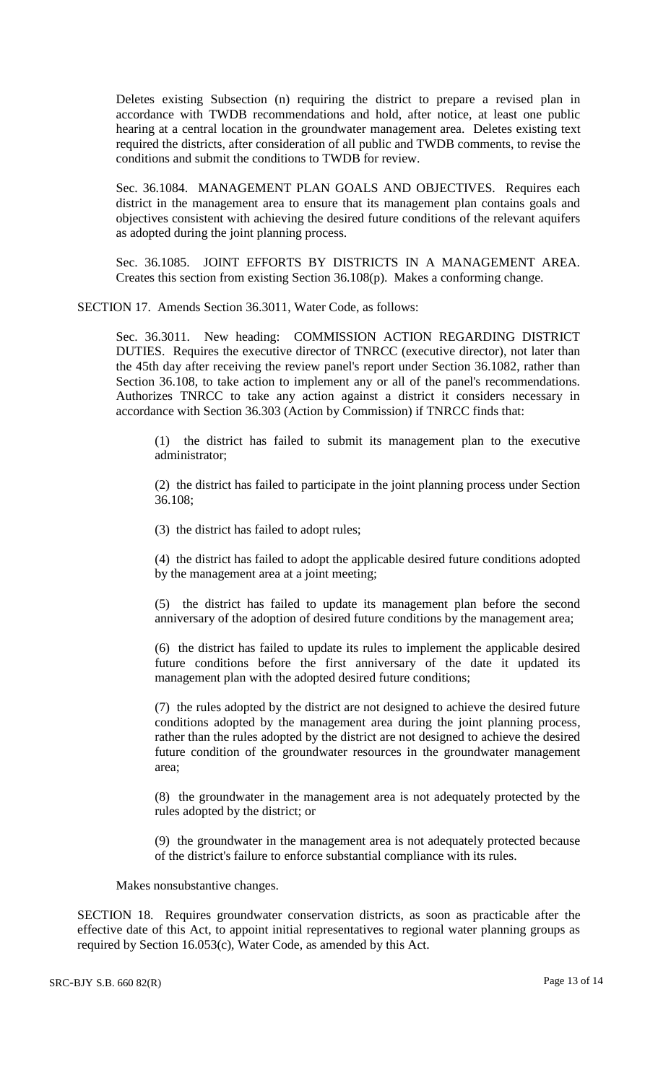Deletes existing Subsection (n) requiring the district to prepare a revised plan in accordance with TWDB recommendations and hold, after notice, at least one public hearing at a central location in the groundwater management area. Deletes existing text required the districts, after consideration of all public and TWDB comments, to revise the conditions and submit the conditions to TWDB for review.

Sec. 36.1084. MANAGEMENT PLAN GOALS AND OBJECTIVES. Requires each district in the management area to ensure that its management plan contains goals and objectives consistent with achieving the desired future conditions of the relevant aquifers as adopted during the joint planning process.

Sec. 36.1085. JOINT EFFORTS BY DISTRICTS IN A MANAGEMENT AREA. Creates this section from existing Section  $36.108(p)$ . Makes a conforming change.

SECTION 17. Amends Section 36.3011, Water Code, as follows:

Sec. 36.3011. New heading: COMMISSION ACTION REGARDING DISTRICT DUTIES. Requires the executive director of TNRCC (executive director), not later than the 45th day after receiving the review panel's report under Section 36.1082, rather than Section 36.108, to take action to implement any or all of the panel's recommendations. Authorizes TNRCC to take any action against a district it considers necessary in accordance with Section 36.303 (Action by Commission) if TNRCC finds that:

(1) the district has failed to submit its management plan to the executive administrator;

(2) the district has failed to participate in the joint planning process under Section 36.108;

(3) the district has failed to adopt rules;

(4) the district has failed to adopt the applicable desired future conditions adopted by the management area at a joint meeting;

(5) the district has failed to update its management plan before the second anniversary of the adoption of desired future conditions by the management area;

(6) the district has failed to update its rules to implement the applicable desired future conditions before the first anniversary of the date it updated its management plan with the adopted desired future conditions;

(7) the rules adopted by the district are not designed to achieve the desired future conditions adopted by the management area during the joint planning process, rather than the rules adopted by the district are not designed to achieve the desired future condition of the groundwater resources in the groundwater management area;

(8) the groundwater in the management area is not adequately protected by the rules adopted by the district; or

(9) the groundwater in the management area is not adequately protected because of the district's failure to enforce substantial compliance with its rules.

Makes nonsubstantive changes.

SECTION 18. Requires groundwater conservation districts, as soon as practicable after the effective date of this Act, to appoint initial representatives to regional water planning groups as required by Section 16.053(c), Water Code, as amended by this Act.